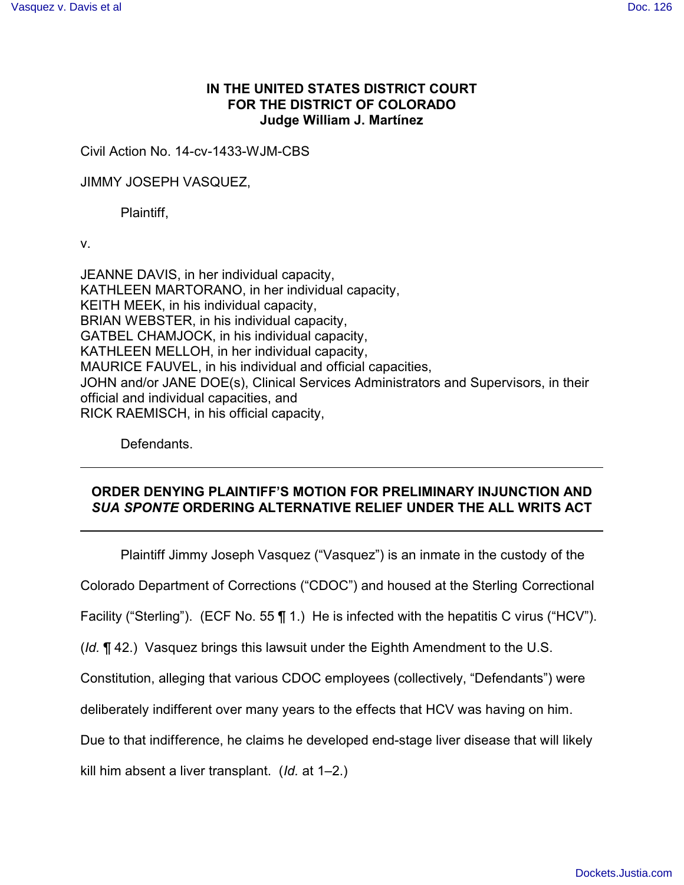# **IN THE UNITED STATES DISTRICT COURT FOR THE DISTRICT OF COLORADO Judge William J. Martínez**

Civil Action No. 14-cv-1433-WJM-CBS

JIMMY JOSEPH VASQUEZ,

Plaintiff,

v.

JEANNE DAVIS, in her individual capacity, KATHLEEN MARTORANO, in her individual capacity, KEITH MEEK, in his individual capacity, BRIAN WEBSTER, in his individual capacity, GATBEL CHAMJOCK, in his individual capacity, KATHLEEN MELLOH, in her individual capacity, MAURICE FAUVEL, in his individual and official capacities, JOHN and/or JANE DOE(s), Clinical Services Administrators and Supervisors, in their official and individual capacities, and RICK RAEMISCH, in his official capacity,

Defendants.

# **ORDER DENYING PLAINTIFF'S MOTION FOR PRELIMINARY INJUNCTION AND** *SUA SPONTE* **ORDERING ALTERNATIVE RELIEF UNDER THE ALL WRITS ACT**

Plaintiff Jimmy Joseph Vasquez ("Vasquez") is an inmate in the custody of the

Colorado Department of Corrections ("CDOC") and housed at the Sterling Correctional

Facility ("Sterling"). (ECF No. 55 ¶ 1.) He is infected with the hepatitis C virus ("HCV").

(*Id.* ¶ 42.) Vasquez brings this lawsuit under the Eighth Amendment to the U.S.

Constitution, alleging that various CDOC employees (collectively, "Defendants") were

deliberately indifferent over many years to the effects that HCV was having on him.

Due to that indifference, he claims he developed end-stage liver disease that will likely

kill him absent a liver transplant. (*Id.* at 1–2.)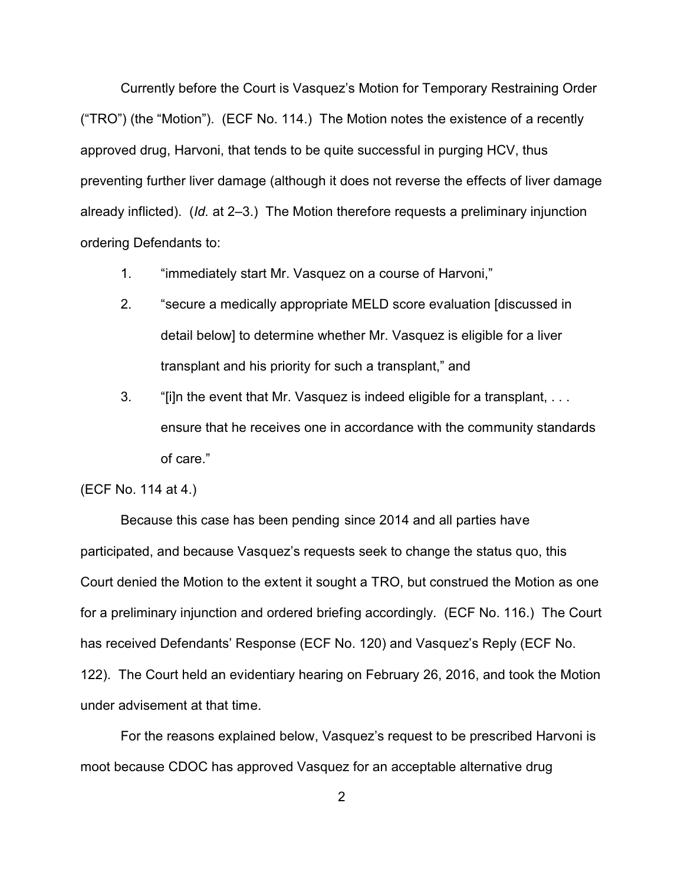Currently before the Court is Vasquez's Motion for Temporary Restraining Order ("TRO") (the "Motion"). (ECF No. 114.) The Motion notes the existence of a recently approved drug, Harvoni, that tends to be quite successful in purging HCV, thus preventing further liver damage (although it does not reverse the effects of liver damage already inflicted). (*Id.* at 2–3.) The Motion therefore requests a preliminary injunction ordering Defendants to:

- 1. "immediately start Mr. Vasquez on a course of Harvoni,"
- 2. "secure a medically appropriate MELD score evaluation [discussed in detail below] to determine whether Mr. Vasquez is eligible for a liver transplant and his priority for such a transplant," and
- 3. "[i]n the event that Mr. Vasquez is indeed eligible for a transplant, . . . ensure that he receives one in accordance with the community standards of care."

#### (ECF No. 114 at 4.)

Because this case has been pending since 2014 and all parties have participated, and because Vasquez's requests seek to change the status quo, this Court denied the Motion to the extent it sought a TRO, but construed the Motion as one for a preliminary injunction and ordered briefing accordingly. (ECF No. 116.) The Court has received Defendants' Response (ECF No. 120) and Vasquez's Reply (ECF No. 122). The Court held an evidentiary hearing on February 26, 2016, and took the Motion under advisement at that time.

For the reasons explained below, Vasquez's request to be prescribed Harvoni is moot because CDOC has approved Vasquez for an acceptable alternative drug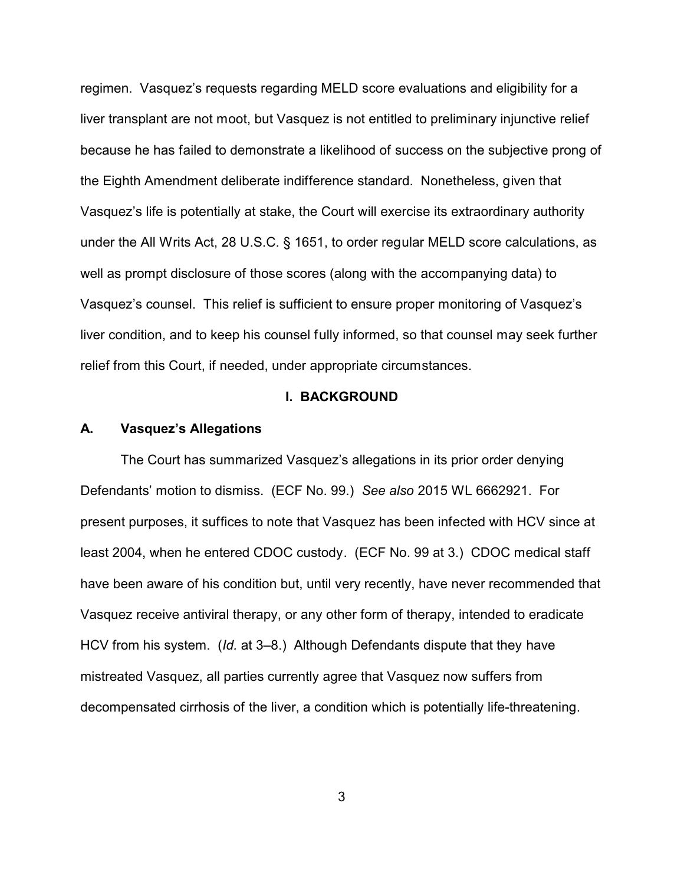regimen. Vasquez's requests regarding MELD score evaluations and eligibility for a liver transplant are not moot, but Vasquez is not entitled to preliminary injunctive relief because he has failed to demonstrate a likelihood of success on the subjective prong of the Eighth Amendment deliberate indifference standard. Nonetheless, given that Vasquez's life is potentially at stake, the Court will exercise its extraordinary authority under the All Writs Act, 28 U.S.C. § 1651, to order regular MELD score calculations, as well as prompt disclosure of those scores (along with the accompanying data) to Vasquez's counsel. This relief is sufficient to ensure proper monitoring of Vasquez's liver condition, and to keep his counsel fully informed, so that counsel may seek further relief from this Court, if needed, under appropriate circumstances.

### **I. BACKGROUND**

#### **A. Vasquez's Allegations**

The Court has summarized Vasquez's allegations in its prior order denying Defendants' motion to dismiss. (ECF No. 99.) *See also* 2015 WL 6662921. For present purposes, it suffices to note that Vasquez has been infected with HCV since at least 2004, when he entered CDOC custody. (ECF No. 99 at 3.) CDOC medical staff have been aware of his condition but, until very recently, have never recommended that Vasquez receive antiviral therapy, or any other form of therapy, intended to eradicate HCV from his system. (*Id.* at 3–8.) Although Defendants dispute that they have mistreated Vasquez, all parties currently agree that Vasquez now suffers from decompensated cirrhosis of the liver, a condition which is potentially life-threatening.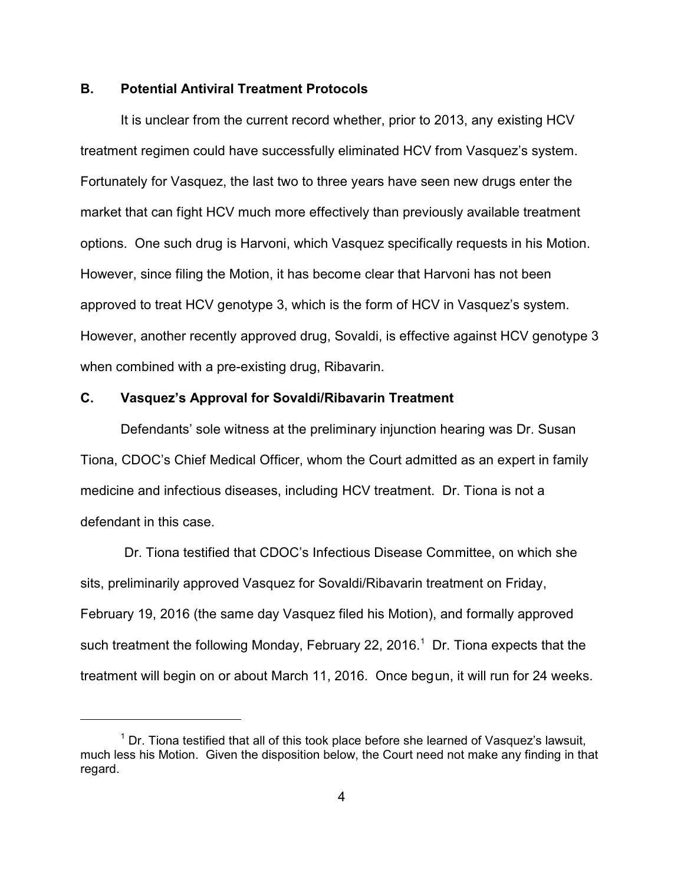# **B. Potential Antiviral Treatment Protocols**

It is unclear from the current record whether, prior to 2013, any existing HCV treatment regimen could have successfully eliminated HCV from Vasquez's system. Fortunately for Vasquez, the last two to three years have seen new drugs enter the market that can fight HCV much more effectively than previously available treatment options. One such drug is Harvoni, which Vasquez specifically requests in his Motion. However, since filing the Motion, it has become clear that Harvoni has not been approved to treat HCV genotype 3, which is the form of HCV in Vasquez's system. However, another recently approved drug, Sovaldi, is effective against HCV genotype 3 when combined with a pre-existing drug, Ribavarin.

### **C. Vasquez's Approval for Sovaldi/Ribavarin Treatment**

Defendants' sole witness at the preliminary injunction hearing was Dr. Susan Tiona, CDOC's Chief Medical Officer, whom the Court admitted as an expert in family medicine and infectious diseases, including HCV treatment. Dr. Tiona is not a defendant in this case.

 Dr. Tiona testified that CDOC's Infectious Disease Committee, on which she sits, preliminarily approved Vasquez for Sovaldi/Ribavarin treatment on Friday, February 19, 2016 (the same day Vasquez filed his Motion), and formally approved such treatment the following Monday, February 22, 2016. $^1$  Dr. Tiona expects that the treatment will begin on or about March 11, 2016. Once begun, it will run for 24 weeks.

 $1$  Dr. Tiona testified that all of this took place before she learned of Vasquez's lawsuit, much less his Motion. Given the disposition below, the Court need not make any finding in that regard.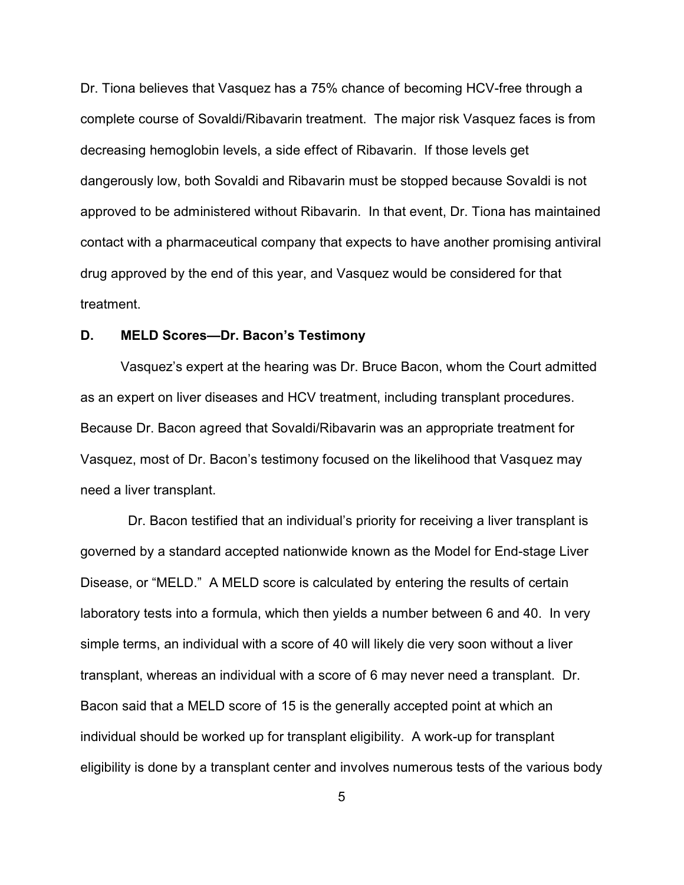Dr. Tiona believes that Vasquez has a 75% chance of becoming HCV-free through a complete course of Sovaldi/Ribavarin treatment. The major risk Vasquez faces is from decreasing hemoglobin levels, a side effect of Ribavarin. If those levels get dangerously low, both Sovaldi and Ribavarin must be stopped because Sovaldi is not approved to be administered without Ribavarin. In that event, Dr. Tiona has maintained contact with a pharmaceutical company that expects to have another promising antiviral drug approved by the end of this year, and Vasquez would be considered for that treatment.

# **D. MELD Scores—Dr. Bacon's Testimony**

Vasquez's expert at the hearing was Dr. Bruce Bacon, whom the Court admitted as an expert on liver diseases and HCV treatment, including transplant procedures. Because Dr. Bacon agreed that Sovaldi/Ribavarin was an appropriate treatment for Vasquez, most of Dr. Bacon's testimony focused on the likelihood that Vasquez may need a liver transplant.

 Dr. Bacon testified that an individual's priority for receiving a liver transplant is governed by a standard accepted nationwide known as the Model for End-stage Liver Disease, or "MELD." A MELD score is calculated by entering the results of certain laboratory tests into a formula, which then yields a number between 6 and 40. In very simple terms, an individual with a score of 40 will likely die very soon without a liver transplant, whereas an individual with a score of 6 may never need a transplant. Dr. Bacon said that a MELD score of 15 is the generally accepted point at which an individual should be worked up for transplant eligibility. A work-up for transplant eligibility is done by a transplant center and involves numerous tests of the various body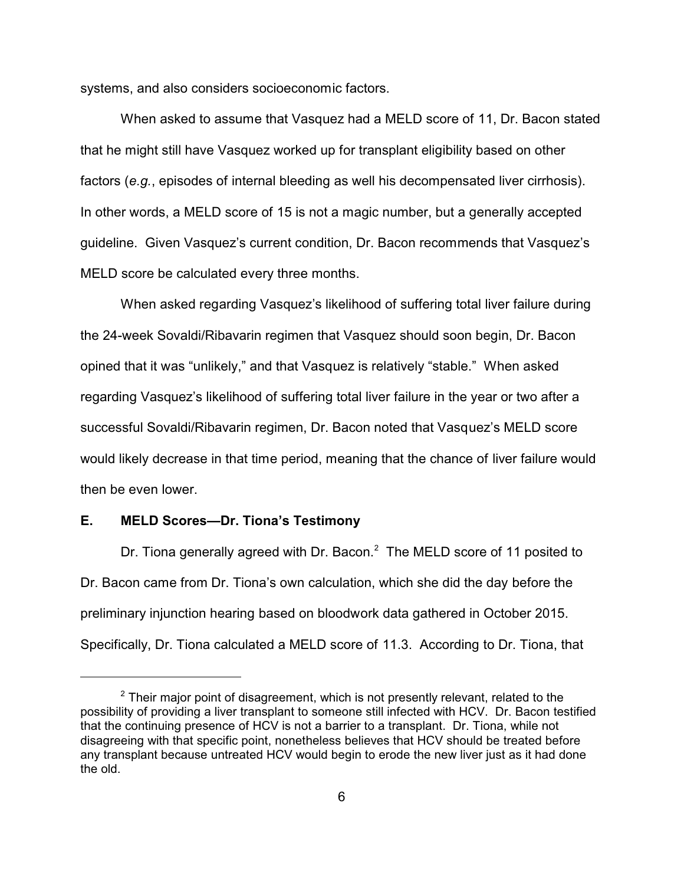systems, and also considers socioeconomic factors.

When asked to assume that Vasquez had a MELD score of 11, Dr. Bacon stated that he might still have Vasquez worked up for transplant eligibility based on other factors (*e.g.*, episodes of internal bleeding as well his decompensated liver cirrhosis). In other words, a MELD score of 15 is not a magic number, but a generally accepted guideline. Given Vasquez's current condition, Dr. Bacon recommends that Vasquez's MELD score be calculated every three months.

When asked regarding Vasquez's likelihood of suffering total liver failure during the 24-week Sovaldi/Ribavarin regimen that Vasquez should soon begin, Dr. Bacon opined that it was "unlikely," and that Vasquez is relatively "stable." When asked regarding Vasquez's likelihood of suffering total liver failure in the year or two after a successful Sovaldi/Ribavarin regimen, Dr. Bacon noted that Vasquez's MELD score would likely decrease in that time period, meaning that the chance of liver failure would then be even lower.

#### **E. MELD Scores—Dr. Tiona's Testimony**

Dr. Tiona generally agreed with Dr. Bacon. $^2$  The MELD score of 11 posited to Dr. Bacon came from Dr. Tiona's own calculation, which she did the day before the preliminary injunction hearing based on bloodwork data gathered in October 2015. Specifically, Dr. Tiona calculated a MELD score of 11.3. According to Dr. Tiona, that

 $^{\text{2}}$  Their major point of disagreement, which is not presently relevant, related to the possibility of providing a liver transplant to someone still infected with HCV. Dr. Bacon testified that the continuing presence of HCV is not a barrier to a transplant. Dr. Tiona, while not disagreeing with that specific point, nonetheless believes that HCV should be treated before any transplant because untreated HCV would begin to erode the new liver just as it had done the old.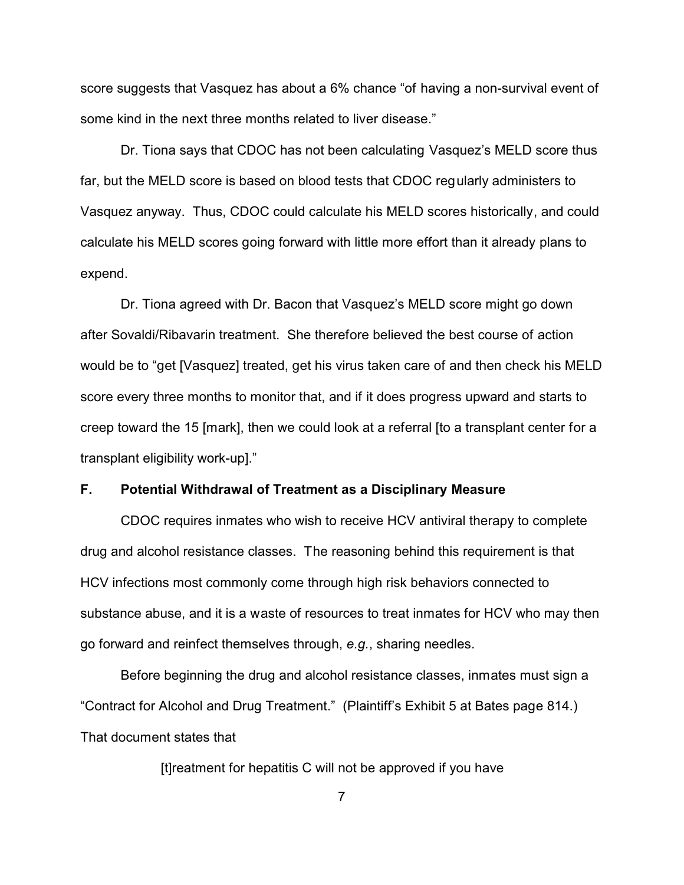score suggests that Vasquez has about a 6% chance "of having a non-survival event of some kind in the next three months related to liver disease."

Dr. Tiona says that CDOC has not been calculating Vasquez's MELD score thus far, but the MELD score is based on blood tests that CDOC regularly administers to Vasquez anyway. Thus, CDOC could calculate his MELD scores historically, and could calculate his MELD scores going forward with little more effort than it already plans to expend.

Dr. Tiona agreed with Dr. Bacon that Vasquez's MELD score might go down after Sovaldi/Ribavarin treatment. She therefore believed the best course of action would be to "get [Vasquez] treated, get his virus taken care of and then check his MELD score every three months to monitor that, and if it does progress upward and starts to creep toward the 15 [mark], then we could look at a referral [to a transplant center for a transplant eligibility work-up]."

# **F. Potential Withdrawal of Treatment as a Disciplinary Measure**

CDOC requires inmates who wish to receive HCV antiviral therapy to complete drug and alcohol resistance classes. The reasoning behind this requirement is that HCV infections most commonly come through high risk behaviors connected to substance abuse, and it is a waste of resources to treat inmates for HCV who may then go forward and reinfect themselves through, *e.g.*, sharing needles.

Before beginning the drug and alcohol resistance classes, inmates must sign a "Contract for Alcohol and Drug Treatment." (Plaintiff's Exhibit 5 at Bates page 814.) That document states that

[t]reatment for hepatitis C will not be approved if you have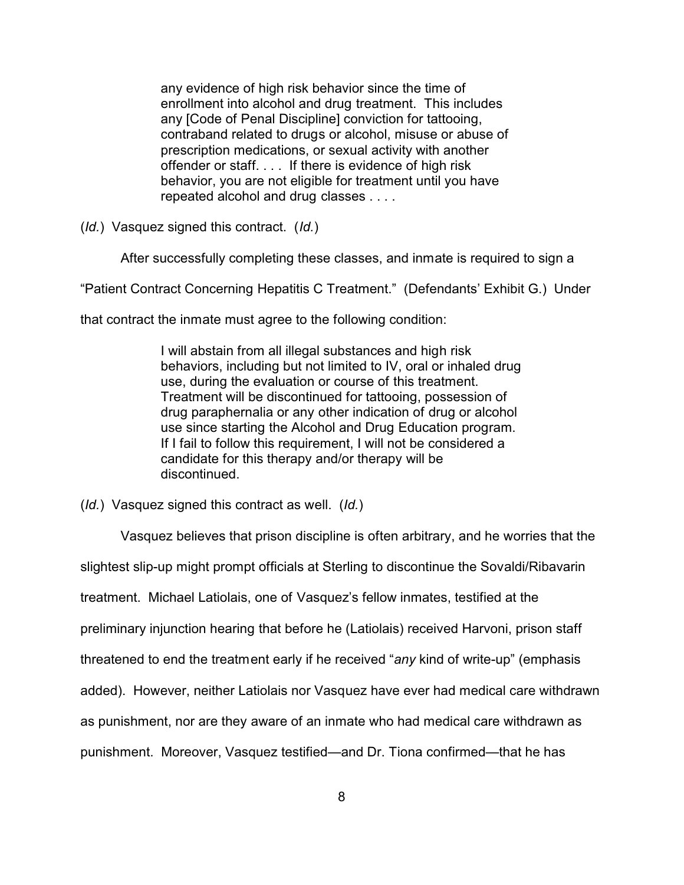any evidence of high risk behavior since the time of enrollment into alcohol and drug treatment. This includes any [Code of Penal Discipline] conviction for tattooing, contraband related to drugs or alcohol, misuse or abuse of prescription medications, or sexual activity with another offender or staff. . . . If there is evidence of high risk behavior, you are not eligible for treatment until you have repeated alcohol and drug classes . . . .

(*Id.*) Vasquez signed this contract. (*Id.*)

After successfully completing these classes, and inmate is required to sign a

"Patient Contract Concerning Hepatitis C Treatment." (Defendants' Exhibit G.) Under

that contract the inmate must agree to the following condition:

I will abstain from all illegal substances and high risk behaviors, including but not limited to IV, oral or inhaled drug use, during the evaluation or course of this treatment. Treatment will be discontinued for tattooing, possession of drug paraphernalia or any other indication of drug or alcohol use since starting the Alcohol and Drug Education program. If I fail to follow this requirement, I will not be considered a candidate for this therapy and/or therapy will be discontinued.

(*Id.*) Vasquez signed this contract as well. (*Id.*)

Vasquez believes that prison discipline is often arbitrary, and he worries that the slightest slip-up might prompt officials at Sterling to discontinue the Sovaldi/Ribavarin treatment. Michael Latiolais, one of Vasquez's fellow inmates, testified at the preliminary injunction hearing that before he (Latiolais) received Harvoni, prison staff threatened to end the treatment early if he received "*any* kind of write-up" (emphasis added). However, neither Latiolais nor Vasquez have ever had medical care withdrawn as punishment, nor are they aware of an inmate who had medical care withdrawn as punishment. Moreover, Vasquez testified—and Dr. Tiona confirmed—that he has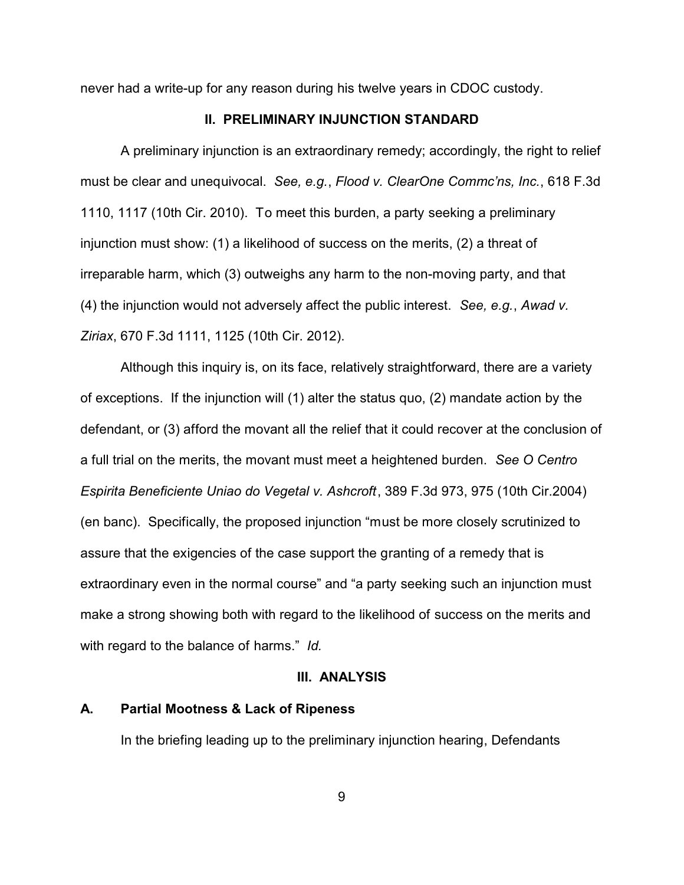never had a write-up for any reason during his twelve years in CDOC custody.

# **II. PRELIMINARY INJUNCTION STANDARD**

A preliminary injunction is an extraordinary remedy; accordingly, the right to relief must be clear and unequivocal. *See, e.g.*, *Flood v. ClearOne Commc'ns, Inc.*, 618 F.3d 1110, 1117 (10th Cir. 2010). To meet this burden, a party seeking a preliminary injunction must show: (1) a likelihood of success on the merits, (2) a threat of irreparable harm, which (3) outweighs any harm to the non-moving party, and that (4) the injunction would not adversely affect the public interest. *See, e.g.*, *Awad v. Ziriax*, 670 F.3d 1111, 1125 (10th Cir. 2012).

Although this inquiry is, on its face, relatively straightforward, there are a variety of exceptions. If the injunction will (1) alter the status quo, (2) mandate action by the defendant, or (3) afford the movant all the relief that it could recover at the conclusion of a full trial on the merits, the movant must meet a heightened burden. *See O Centro Espirita Beneficiente Uniao do Vegetal v. Ashcroft*, 389 F.3d 973, 975 (10th Cir.2004) (en banc). Specifically, the proposed injunction "must be more closely scrutinized to assure that the exigencies of the case support the granting of a remedy that is extraordinary even in the normal course" and "a party seeking such an injunction must make a strong showing both with regard to the likelihood of success on the merits and with regard to the balance of harms." *Id.*

### **III. ANALYSIS**

# **A. Partial Mootness & Lack of Ripeness**

In the briefing leading up to the preliminary injunction hearing, Defendants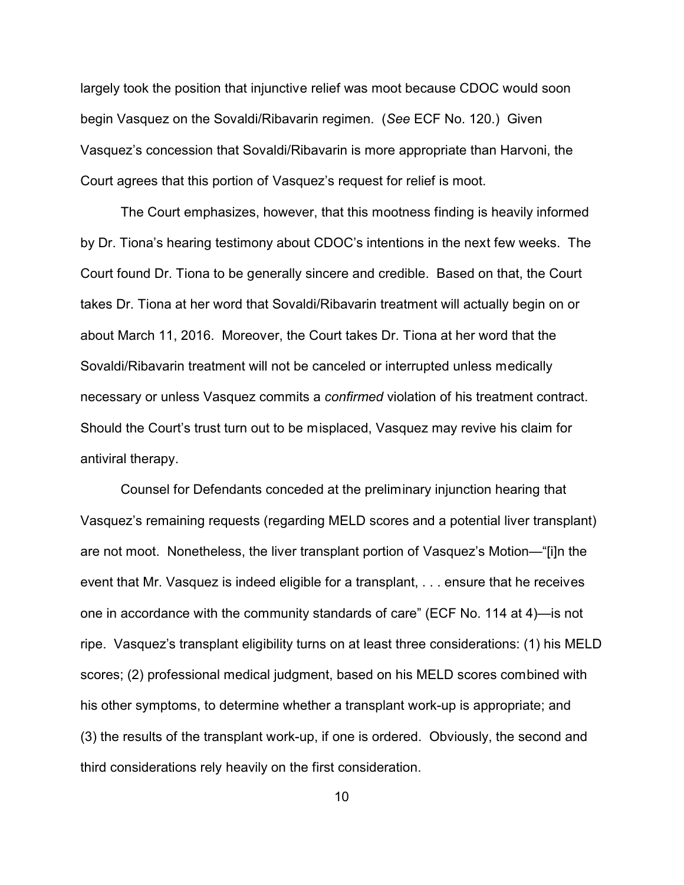largely took the position that injunctive relief was moot because CDOC would soon begin Vasquez on the Sovaldi/Ribavarin regimen. (*See* ECF No. 120.) Given Vasquez's concession that Sovaldi/Ribavarin is more appropriate than Harvoni, the Court agrees that this portion of Vasquez's request for relief is moot.

The Court emphasizes, however, that this mootness finding is heavily informed by Dr. Tiona's hearing testimony about CDOC's intentions in the next few weeks. The Court found Dr. Tiona to be generally sincere and credible. Based on that, the Court takes Dr. Tiona at her word that Sovaldi/Ribavarin treatment will actually begin on or about March 11, 2016. Moreover, the Court takes Dr. Tiona at her word that the Sovaldi/Ribavarin treatment will not be canceled or interrupted unless medically necessary or unless Vasquez commits a *confirmed* violation of his treatment contract. Should the Court's trust turn out to be misplaced, Vasquez may revive his claim for antiviral therapy.

Counsel for Defendants conceded at the preliminary injunction hearing that Vasquez's remaining requests (regarding MELD scores and a potential liver transplant) are not moot. Nonetheless, the liver transplant portion of Vasquez's Motion—"[i]n the event that Mr. Vasquez is indeed eligible for a transplant, . . . ensure that he receives one in accordance with the community standards of care" (ECF No. 114 at 4)—is not ripe. Vasquez's transplant eligibility turns on at least three considerations: (1) his MELD scores; (2) professional medical judgment, based on his MELD scores combined with his other symptoms, to determine whether a transplant work-up is appropriate; and (3) the results of the transplant work-up, if one is ordered. Obviously, the second and third considerations rely heavily on the first consideration.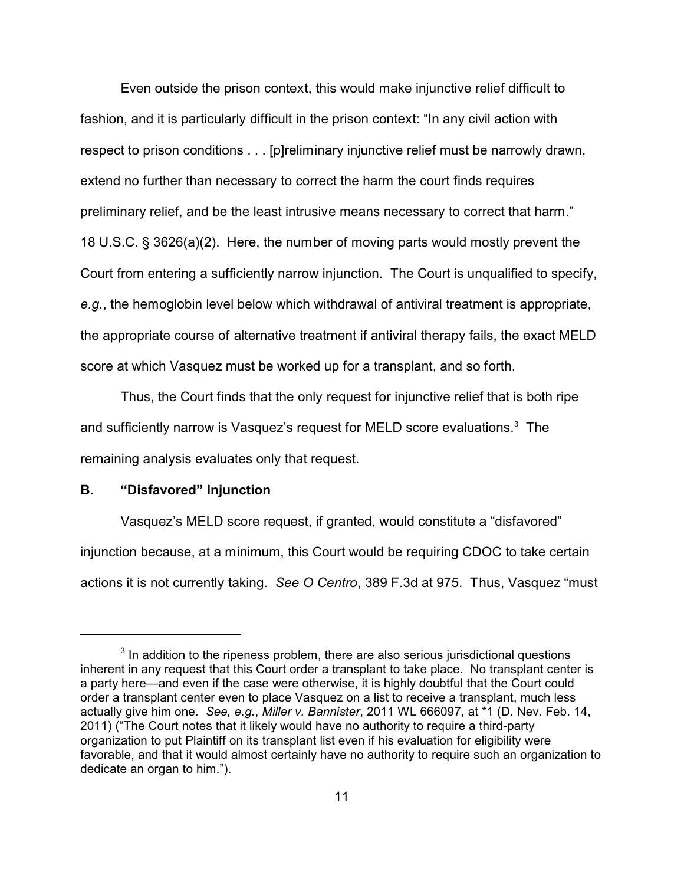Even outside the prison context, this would make injunctive relief difficult to fashion, and it is particularly difficult in the prison context: "In any civil action with respect to prison conditions . . . [p]reliminary injunctive relief must be narrowly drawn, extend no further than necessary to correct the harm the court finds requires preliminary relief, and be the least intrusive means necessary to correct that harm." 18 U.S.C. § 3626(a)(2). Here, the number of moving parts would mostly prevent the Court from entering a sufficiently narrow injunction. The Court is unqualified to specify, *e.g.*, the hemoglobin level below which withdrawal of antiviral treatment is appropriate, the appropriate course of alternative treatment if antiviral therapy fails, the exact MELD score at which Vasquez must be worked up for a transplant, and so forth.

Thus, the Court finds that the only request for injunctive relief that is both ripe and sufficiently narrow is Vasquez's request for MELD score evaluations. $^3\,$  The remaining analysis evaluates only that request.

# **B. "Disfavored" Injunction**

Vasquez's MELD score request, if granted, would constitute a "disfavored" injunction because, at a minimum, this Court would be requiring CDOC to take certain actions it is not currently taking. *See O Centro*, 389 F.3d at 975. Thus, Vasquez "must

 $3$  In addition to the ripeness problem, there are also serious jurisdictional questions inherent in any request that this Court order a transplant to take place. No transplant center is a party here—and even if the case were otherwise, it is highly doubtful that the Court could order a transplant center even to place Vasquez on a list to receive a transplant, much less actually give him one. *See, e.g.*, *Miller v. Bannister*, 2011 WL 666097, at \*1 (D. Nev. Feb. 14, 2011) ("The Court notes that it likely would have no authority to require a third-party organization to put Plaintiff on its transplant list even if his evaluation for eligibility were favorable, and that it would almost certainly have no authority to require such an organization to dedicate an organ to him.").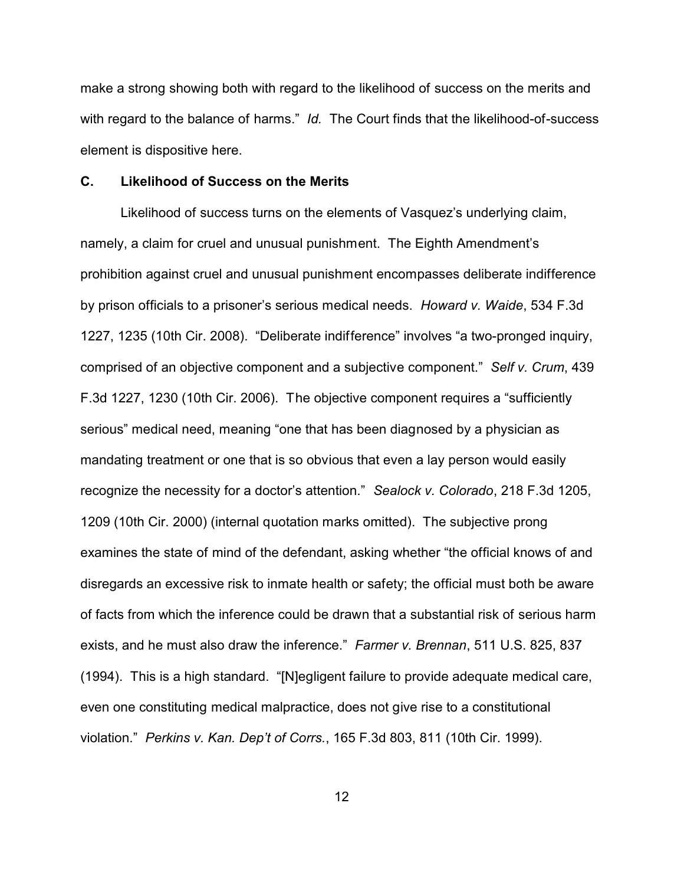make a strong showing both with regard to the likelihood of success on the merits and with regard to the balance of harms." *Id.* The Court finds that the likelihood-of-success element is dispositive here.

### **C. Likelihood of Success on the Merits**

Likelihood of success turns on the elements of Vasquez's underlying claim, namely, a claim for cruel and unusual punishment. The Eighth Amendment's prohibition against cruel and unusual punishment encompasses deliberate indifference by prison officials to a prisoner's serious medical needs. *Howard v. Waide*, 534 F.3d 1227, 1235 (10th Cir. 2008). "Deliberate indifference" involves "a two-pronged inquiry, comprised of an objective component and a subjective component." *Self v. Crum*, 439 F.3d 1227, 1230 (10th Cir. 2006). The objective component requires a "sufficiently serious" medical need, meaning "one that has been diagnosed by a physician as mandating treatment or one that is so obvious that even a lay person would easily recognize the necessity for a doctor's attention." *Sealock v. Colorado*, 218 F.3d 1205, 1209 (10th Cir. 2000) (internal quotation marks omitted). The subjective prong examines the state of mind of the defendant, asking whether "the official knows of and disregards an excessive risk to inmate health or safety; the official must both be aware of facts from which the inference could be drawn that a substantial risk of serious harm exists, and he must also draw the inference." *Farmer v. Brennan*, 511 U.S. 825, 837 (1994). This is a high standard. "[N]egligent failure to provide adequate medical care, even one constituting medical malpractice, does not give rise to a constitutional violation." *Perkins v. Kan. Dep't of Corrs.*, 165 F.3d 803, 811 (10th Cir. 1999).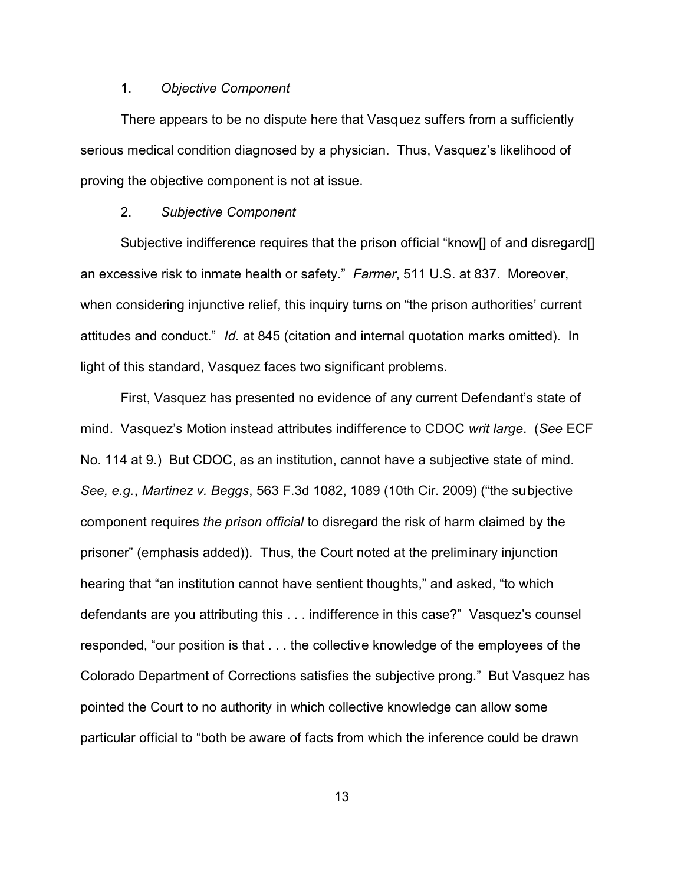# 1. *Objective Component*

There appears to be no dispute here that Vasquez suffers from a sufficiently serious medical condition diagnosed by a physician. Thus, Vasquez's likelihood of proving the objective component is not at issue.

### 2. *Subjective Component*

Subjective indifference requires that the prison official "know<sup>[]</sup> of and disregard<sup>[]</sup> an excessive risk to inmate health or safety." *Farmer*, 511 U.S. at 837. Moreover, when considering injunctive relief, this inquiry turns on "the prison authorities' current attitudes and conduct." *Id.* at 845 (citation and internal quotation marks omitted). In light of this standard, Vasquez faces two significant problems.

First, Vasquez has presented no evidence of any current Defendant's state of mind. Vasquez's Motion instead attributes indifference to CDOC *writ large*. (*See* ECF No. 114 at 9.) But CDOC, as an institution, cannot have a subjective state of mind. *See, e.g.*, *Martinez v. Beggs*, 563 F.3d 1082, 1089 (10th Cir. 2009) ("the subjective component requires *the prison official* to disregard the risk of harm claimed by the prisoner" (emphasis added)). Thus, the Court noted at the preliminary injunction hearing that "an institution cannot have sentient thoughts," and asked, "to which defendants are you attributing this . . . indifference in this case?" Vasquez's counsel responded, "our position is that . . . the collective knowledge of the employees of the Colorado Department of Corrections satisfies the subjective prong." But Vasquez has pointed the Court to no authority in which collective knowledge can allow some particular official to "both be aware of facts from which the inference could be drawn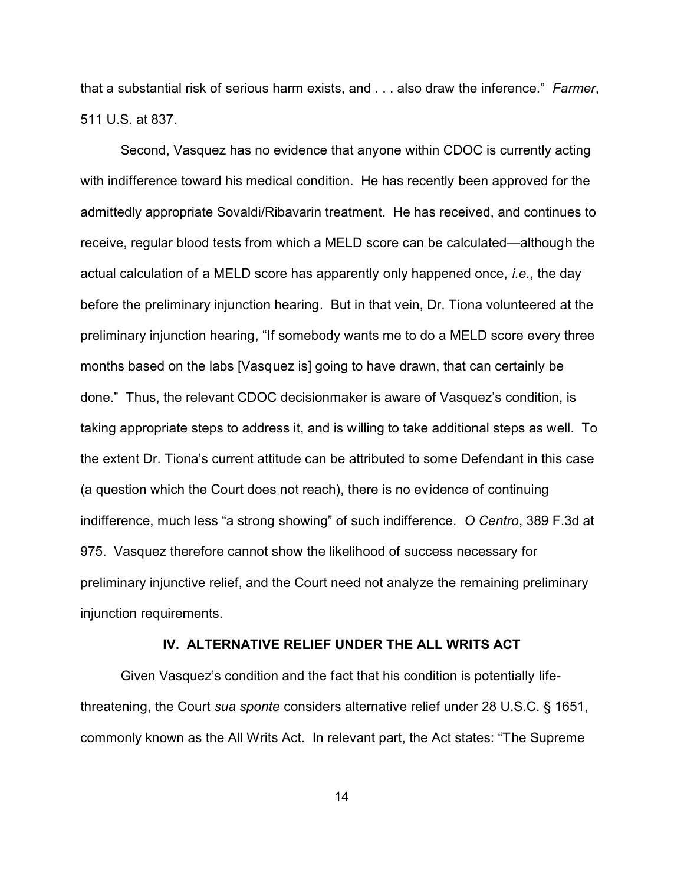that a substantial risk of serious harm exists, and . . . also draw the inference." *Farmer*, 511 U.S. at 837.

Second, Vasquez has no evidence that anyone within CDOC is currently acting with indifference toward his medical condition. He has recently been approved for the admittedly appropriate Sovaldi/Ribavarin treatment. He has received, and continues to receive, regular blood tests from which a MELD score can be calculated—although the actual calculation of a MELD score has apparently only happened once, *i.e.*, the day before the preliminary injunction hearing. But in that vein, Dr. Tiona volunteered at the preliminary injunction hearing, "If somebody wants me to do a MELD score every three months based on the labs [Vasquez is] going to have drawn, that can certainly be done." Thus, the relevant CDOC decisionmaker is aware of Vasquez's condition, is taking appropriate steps to address it, and is willing to take additional steps as well. To the extent Dr. Tiona's current attitude can be attributed to some Defendant in this case (a question which the Court does not reach), there is no evidence of continuing indifference, much less "a strong showing" of such indifference. *O Centro*, 389 F.3d at 975. Vasquez therefore cannot show the likelihood of success necessary for preliminary injunctive relief, and the Court need not analyze the remaining preliminary injunction requirements.

# **IV. ALTERNATIVE RELIEF UNDER THE ALL WRITS ACT**

Given Vasquez's condition and the fact that his condition is potentially lifethreatening, the Court *sua sponte* considers alternative relief under 28 U.S.C. § 1651, commonly known as the All Writs Act. In relevant part, the Act states: "The Supreme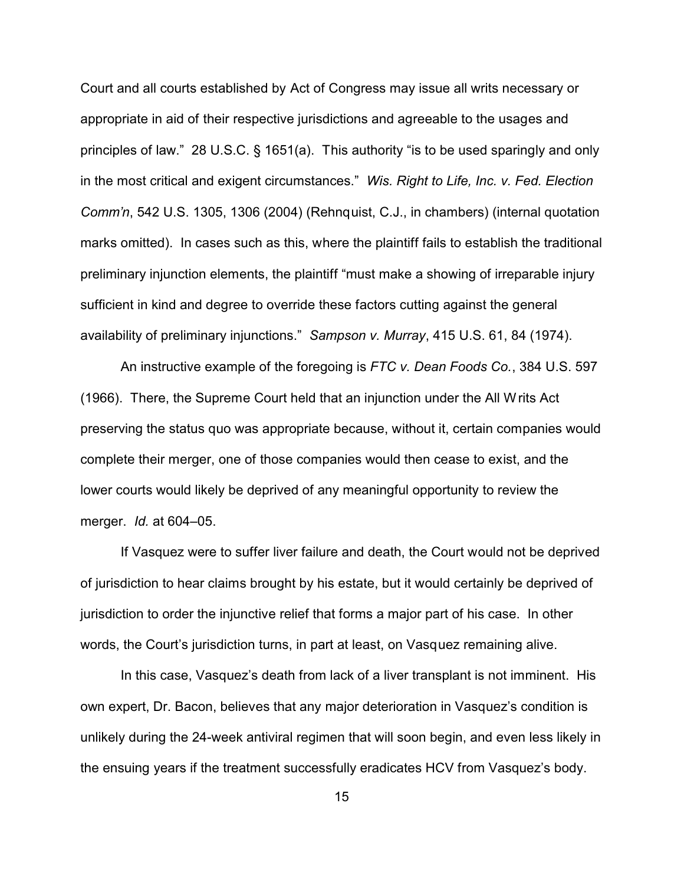Court and all courts established by Act of Congress may issue all writs necessary or appropriate in aid of their respective jurisdictions and agreeable to the usages and principles of law." 28 U.S.C. § 1651(a). This authority "is to be used sparingly and only in the most critical and exigent circumstances." *Wis. Right to Life, Inc. v. Fed. Election Comm'n*, 542 U.S. 1305, 1306 (2004) (Rehnquist, C.J., in chambers) (internal quotation marks omitted). In cases such as this, where the plaintiff fails to establish the traditional preliminary injunction elements, the plaintiff "must make a showing of irreparable injury sufficient in kind and degree to override these factors cutting against the general availability of preliminary injunctions." *Sampson v. Murray*, 415 U.S. 61, 84 (1974).

An instructive example of the foregoing is *FTC v. Dean Foods Co.*, 384 U.S. 597 (1966). There, the Supreme Court held that an injunction under the All Writs Act preserving the status quo was appropriate because, without it, certain companies would complete their merger, one of those companies would then cease to exist, and the lower courts would likely be deprived of any meaningful opportunity to review the merger. *Id.* at 604–05.

If Vasquez were to suffer liver failure and death, the Court would not be deprived of jurisdiction to hear claims brought by his estate, but it would certainly be deprived of jurisdiction to order the injunctive relief that forms a major part of his case. In other words, the Court's jurisdiction turns, in part at least, on Vasquez remaining alive.

In this case, Vasquez's death from lack of a liver transplant is not imminent. His own expert, Dr. Bacon, believes that any major deterioration in Vasquez's condition is unlikely during the 24-week antiviral regimen that will soon begin, and even less likely in the ensuing years if the treatment successfully eradicates HCV from Vasquez's body.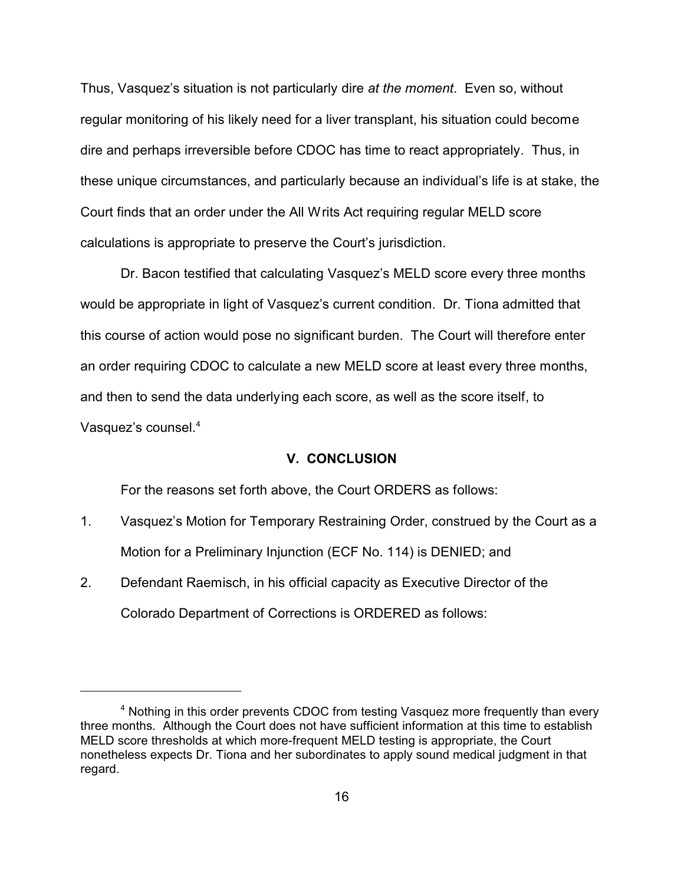Thus, Vasquez's situation is not particularly dire *at the moment*. Even so, without regular monitoring of his likely need for a liver transplant, his situation could become dire and perhaps irreversible before CDOC has time to react appropriately. Thus, in these unique circumstances, and particularly because an individual's life is at stake, the Court finds that an order under the All Writs Act requiring regular MELD score calculations is appropriate to preserve the Court's jurisdiction.

Dr. Bacon testified that calculating Vasquez's MELD score every three months would be appropriate in light of Vasquez's current condition. Dr. Tiona admitted that this course of action would pose no significant burden. The Court will therefore enter an order requiring CDOC to calculate a new MELD score at least every three months, and then to send the data underlying each score, as well as the score itself, to Vasquez's counsel.<sup>4</sup>

### **V. CONCLUSION**

For the reasons set forth above, the Court ORDERS as follows:

- 1. Vasquez's Motion for Temporary Restraining Order, construed by the Court as a Motion for a Preliminary Injunction (ECF No. 114) is DENIED; and
- 2. Defendant Raemisch, in his official capacity as Executive Director of the Colorado Department of Corrections is ORDERED as follows:

<sup>&</sup>lt;sup>4</sup> Nothing in this order prevents CDOC from testing Vasquez more frequently than every three months. Although the Court does not have sufficient information at this time to establish MELD score thresholds at which more-frequent MELD testing is appropriate, the Court nonetheless expects Dr. Tiona and her subordinates to apply sound medical judgment in that regard.